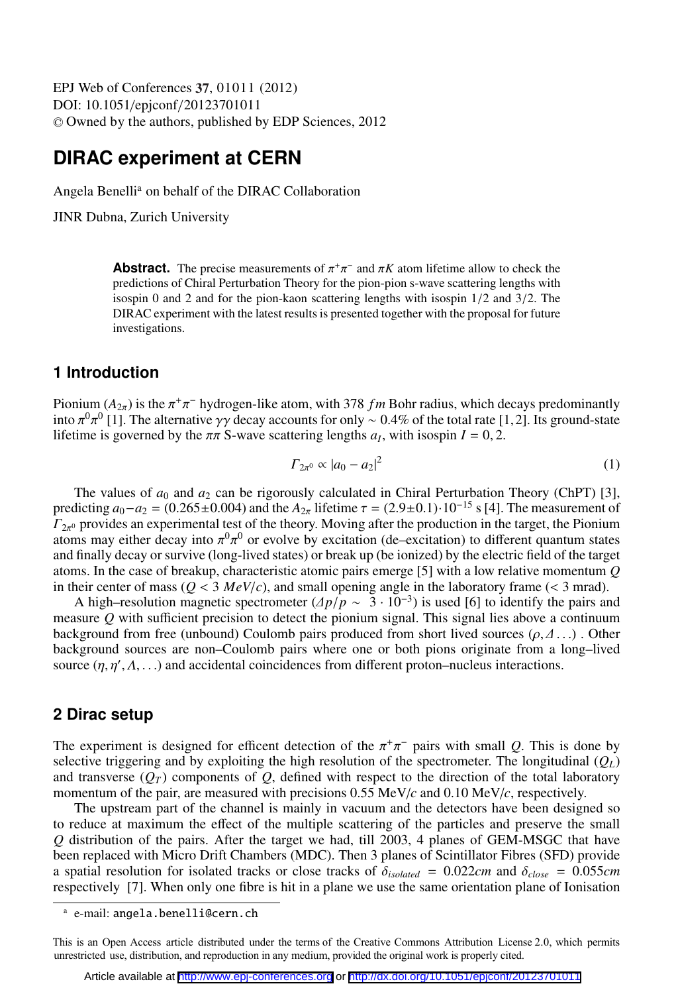EPJ Web of Conferences , **37** 01011 (2012) DOI: 10.1051/epjconf/20123701011 <sup>C</sup> Owned by the authors, published by EDP Sciences, 2012

# **DIRAC experiment at CERN**

Angela Benelli<sup>a</sup> on behalf of the DIRAC Collaboration

JINR Dubna, Zurich University

**Abstract.** The precise measurements of  $\pi^+\pi^-$  and  $\pi K$  atom lifetime allow to check the predictions of Chiral Perturbation Theory for the pion-pion s-wave scattering lengths with predictions of Chiral Perturbation Theory for the pion-pion s-wave scattering lengths with isospin 0 and 2 and for the pion-kaon scattering lengths with isospin 1/2 and 3/2. The DIRAC experiment with the latest results is presented together with the proposal for future investigations.

#### **1 Introduction**

Pionium  $(A_{2\pi})$  is the  $\pi^+\pi^-$  hydrogen-like atom, with 378 fm Bohr radius, which decays predominantly into  $\pi^0\pi^0$  [1]. The alternative γγ decay accounts for only ~ 0.4% of the total rate [1,2]. Its ground-state lif +<sup>−</sup> hydrogen-like atom, with 378 *f m* Bohr radius, which decays predominantly into  $\pi^0 \pi^0$  [1]. The alternative γγ decay accounts for only  $\sim 0.4\%$  of the total rate [1] lifetime is governed by the  $\pi \pi$  S-wave scattering lengths *a<sub>I</sub>*, with isospin *I* = 0, 2.

$$
\Gamma_{2\pi^0} \propto |a_0 - a_2|^2 \tag{1}
$$

The values of  $a_0$  and  $a_2$  can be rigorously calculated in Chiral Perturbation Theory (ChPT) [3], predicting  $a_0 - a_2 = (0.265 \pm 0.004)$  and the  $A_{2\pi}$  lifetime  $\tau = (2.9 \pm 0.1) \cdot 10^{-15}$  s [4]. The measurement of  $T_{2\pi^0}$  provides an experimental test of the theory. Moving arter the production in the target, the Fromum<br>atoms may either decay into  $\pi^0 \pi^0$  or evolve by excitation (de–excitation) to different quantum states<br>and  $\Gamma_{2\pi^0}$  provides an experimental test of the theory. Moving after the production in the target, the Pionium and finally decay or survive (long-lived states) or break up (be ionized) by the electric field of the target atoms. In the case of breakup, characteristic atomic pairs emerge [5] with a low relative momentum *Q* in their center of mass ( $Q < 3$  *MeV/c*), and small opening angle in the laboratory frame ( $< 3$  mrad).

A high–resolution magnetic spectrometer  $(\Delta p/\bar{p} \sim 3 \cdot 10^{-3})$  is used [6] to identify the pairs and sure O with sufficient precision to detect the pionium signal. This signal lies above a continuum measure *Q* with sufficient precision to detect the pionium signal. This signal lies above a continuum background from free (unbound) Coulomb pairs produced from short lived sources ( $\rho, \Delta$ ...). Other background sources are non–Coulomb pairs where one or both pions originate from a long–lived source  $(\eta, \eta', \Lambda, ...)$  and accidental coincidences from different proton–nucleus interactions.

## **2 Dirac setup**

The experiment is designed for efficent detection of the  $\pi^+\pi^-$  pairs with small *Q*. This is done by selective triggering and by exploiting the high resolution of the spectrometer. The longitudinal (*Q*<sub>c</sub>) selective triggering and by exploiting the high resolution of the spectrometer. The longitudinal  $(Q_L)$ and transverse  $(O_T)$  components of  $O$ , defined with respect to the direction of the total laboratory momentum of the pair, are measured with precisions  $0.55 \text{ MeV}/c$  and  $0.10 \text{ MeV}/c$ , respectively.

The upstream part of the channel is mainly in vacuum and the detectors have been designed so to reduce at maximum the effect of the multiple scattering of the particles and preserve the small *Q* distribution of the pairs. After the target we had, till 2003, 4 planes of GEM-MSGC that have been replaced with Micro Drift Chambers (MDC). Then 3 planes of Scintillator Fibres (SFD) provide a spatial resolution for isolated tracks or close tracks of  $\delta_{isolated} = 0.022cm$  and  $\delta_{close} = 0.055cm$ respectively [7]. When only one fibre is hit in a plane we use the same orientation plane of Ionisation

a e-mail: angela.benelli@cern.ch

This is an Open Access article distributed under the terms of the Creative Commons Attribution License 2.0, which permits unrestricted use, distribution, and reproduction in any medium, provided the original work is properly cited.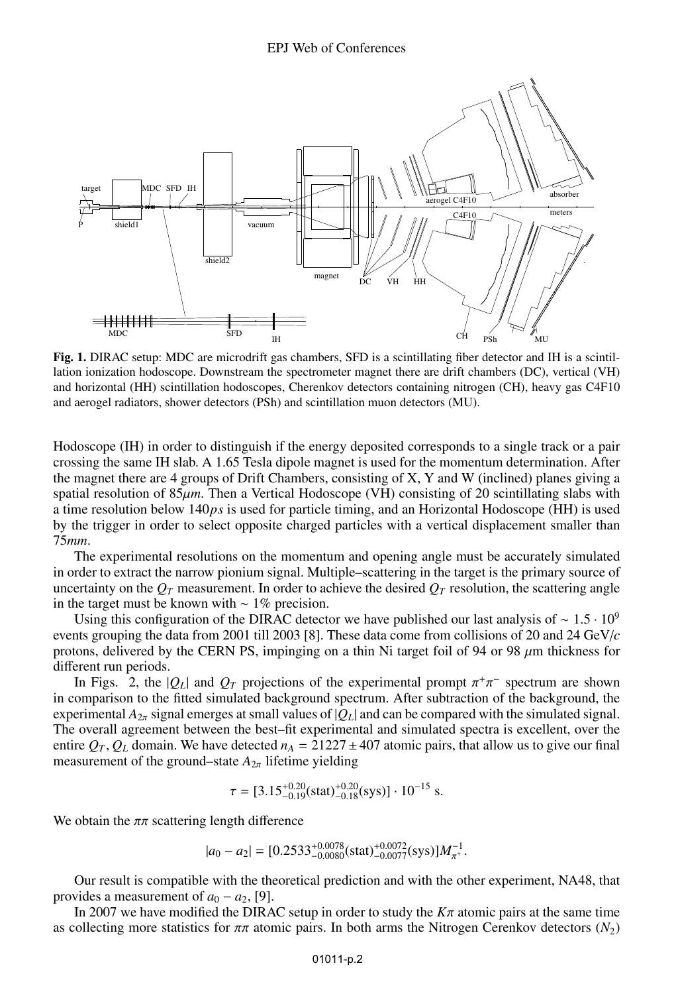

Fig. 1. DIRAC setup: MDC are microdrift gas chambers, SFD is a scintillating fiber detector and IH is a scintillation ionization hodoscope. Downstream the spectrometer magnet there are drift chambers (DC), vertical (VH) and horizontal (HH) scintillation hodoscopes, Cherenkov detectors containing nitrogen (CH), heavy gas C4F10 and aerogel radiators, shower detectors (PSh) and scintillation muon detectors (MU).

Hodoscope (IH) in order to distinguish if the energy deposited corresponds to a single track or a pair crossing the same IH slab. A 1.65 Tesla dipole magnet is used for the momentum determination. After the magnet there are 4 groups of Drift Chambers, consisting of X, Y and W (inclined) planes giving a spatial resolution of 85 $\mu$ m. Then a Vertical Hodoscope (VH) consisting of 20 scintillating slabs with a time resolution below 140*ps* is used for particle timing, and an Horizontal Hodoscope (HH) is used by the trigger in order to select opposite charged particles with a vertical displacement smaller than 75*mm*.

The experimental resolutions on the momentum and opening angle must be accurately simulated in order to extract the narrow pionium signal. Multiple–scattering in the target is the primary source of uncertainty on the  $Q_T$  measurement. In order to achieve the desired  $Q_T$  resolution, the scattering angle in the target must be known with  $\sim 1\%$  precision.

Using this configuration of the DIRAC detector we have published our last analysis of  $\sim 1.5 \cdot 10^9$ events grouping the data from 2001 till 2003 [8]. These data come from collisions of 20 and 24 GeV/*c* protons, delivered by the CERN PS, impinging on a thin Ni target foil of 94 or 98  $\mu$ m thickness for different run periods.

In Figs. 2, the  $|Q_L|$  and  $Q_T$  projections of the experimental prompt  $\pi^+\pi^-$  spectrum are shown<br>omnarison to the fitted simulated background spectrum. After subtraction of the background, the in comparison to the fitted simulated background spectrum. After subtraction of the background, the experimental  $A_{2\pi}$  signal emerges at small values of  $|Q_L|$  and can be compared with the simulated signal. The overall agreement between the best–fit experimental and simulated spectra is excellent, over the entire  $Q_T$ ,  $Q_L$  domain. We have detected  $n_A = 21227 \pm 407$  atomic pairs, that allow us to give our final measurement of the ground–state  $A_{2\pi}$  lifetime yielding

$$
\tau = [3.15^{+0.20}_{-0.19} \text{(stat)}^{+0.20}_{-0.18} \text{(sys)}] \cdot 10^{-15} \text{ s}.
$$

We obtain the  $\pi\pi$  scattering length difference

$$
|a_0 - a_2| = [0.2533^{+0.0078}_{-0.0080} \text{(stat)}^{+0.0072}_{-0.0077} \text{(sys)}]M_{\pi^+}^{-1}.
$$

Our result is compatible with the theoretical prediction and with the other experiment, NA48, that provides a measurement of  $a_0 - a_2$ , [9].

In 2007 we have modified the DIRAC setup in order to study the  $K\pi$  atomic pairs at the same time as collecting more statistics for  $\pi \pi$  atomic pairs. In both arms the Nitrogen Cerenkov detectors ( $N_2$ )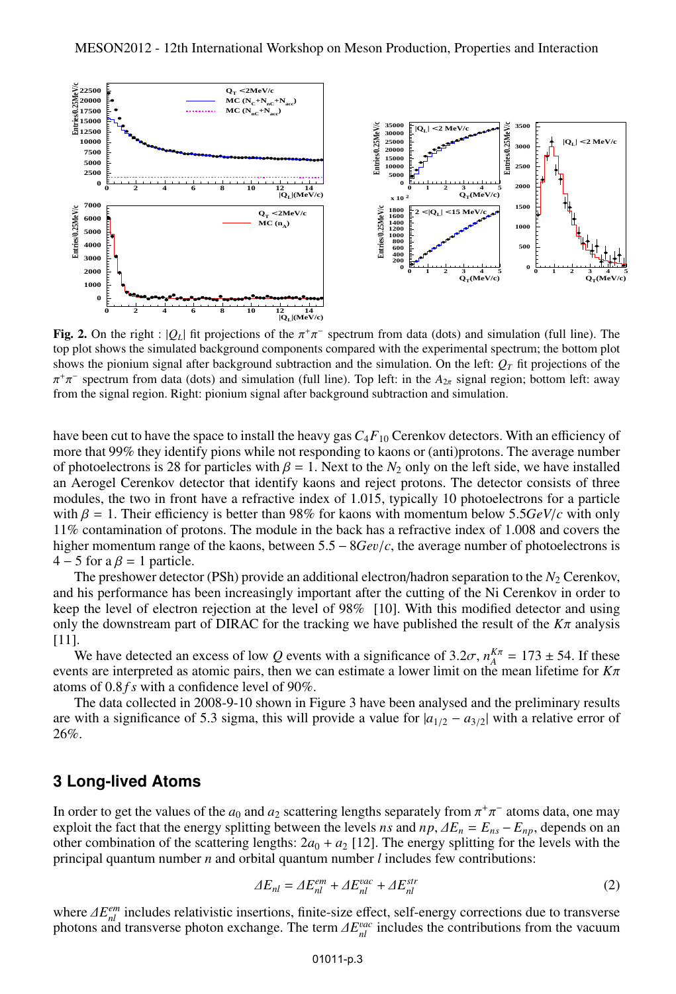

**Fig. 2.** On the right :  $|Q_L|$  fit projections of the  $\pi^+\pi^-$  spectrum from data (dots) and simulation (full line). The top plot shows the simulated background components compared with the experimental spectrum; the bot top plot shows the simulated background components compared with the experimental spectrum; the bottom plot shows the pionium signal after background subtraction and the simulation. On the left:  $Q_T$  fit projections of the From the signal region. Right: pionium signal after background subtraction and simulation.  $+\pi^-$  spectrum from data (dots) and simulation (full line). Top left: in the  $A_{2\pi}$  signal region; bottom left: away

have been cut to have the space to install the heavy gas *C*4*F*<sup>10</sup> Cerenkov detectors. With an efficiency of more that 99% they identify pions while not responding to kaons or (anti)protons. The average number of photoelectrons is 28 for particles with  $\beta = 1$ . Next to the  $N_2$  only on the left side, we have installed an Aerogel Cerenkov detector that identify kaons and reject protons. The detector consists of three modules, the two in front have a refractive index of 1.015, typically 10 photoelectrons for a particle with  $\beta = 1$ . Their efficiency is better than 98% for kaons with momentum below 5.5*GeV/c* with only 11% contamination of protons. The module in the back has a refractive index of 1.008 and covers the higher momentum range of the kaons, between 5.<sup>5</sup> <sup>−</sup> <sup>8</sup>*Ge*v/*c*, the average number of photoelectrons is  $4 - 5$  for a  $\beta = 1$  particle.

The preshower detector (PSh) provide an additional electron/hadron separation to the  $N_2$  Cerenkov, and his performance has been increasingly important after the cutting of the Ni Cerenkov in order to keep the level of electron rejection at the level of 98% [10]. With this modified detector and using only the downstream part of DIRAC for the tracking we have published the result of the  $K\pi$  analysis [11].

We have detected an excess of low *Q* events with a significance of 3.2 $\sigma$ ,  $n_A^{K\pi} = 173 \pm 54$ . If these these are interpreted as atomic pairs, then we can estimate a lower limit on the mean lifetime for  $K\pi$ events are interpreted as atomic pairs, then we can estimate a lower limit on the mean lifetime for *<sup>K</sup>*π atoms of 0.<sup>8</sup> *f s* with a confidence level of 90%.

The data collected in 2008-9-10 shown in Figure 3 have been analysed and the preliminary results are with a significance of 5.3 sigma, this will provide a value for <sup>|</sup>*a*<sup>1</sup>/<sup>2</sup> <sup>−</sup> *<sup>a</sup>*<sup>3</sup>/<sup>2</sup><sup>|</sup> with a relative error of 26%.

## **3 Long-lived Atoms**

In order to get the values of the *a*<sub>0</sub> and *a*<sub>2</sub> scattering lengths separately from  $\pi^+\pi^-$  atoms data, one may exploit the fact that the energy splitting between the levels *n*s and *np*  $AE = E = E = E$ , depends on an  $\frac{1}{2}$  exploit the fact that the energy splitting between the levels *ns* and  $np$ ,  $\Delta E_n = E_{ns} - E_{np}$ , depends on an other combination of the scattering lengths:  $2a_0 + a_2$  [12]. The energy splitting for the levels with other combination of the scattering lengths:  $2a_0 + a_2$  [12]. The energy splitting for the levels with the principal quantum number *n* and orbital quantum number *l* includes few contributions:

$$
\Delta E_{nl} = \Delta E_{nl}^{em} + \Delta E_{nl}^{vac} + \Delta E_{nl}^{str} \tag{2}
$$

where  $\Delta E_{nl}^{em}$  includes relativistic insertions, finite-size effect, self-energy corrections due to transverse<br>photons and transverse photon exchange. The term  $\Delta E^{vac}$  includes the contributions from the vacuum photons and transverse photon exchange. The term  $\Delta E_{nl}^{vac}$  includes the contributions from the vacuum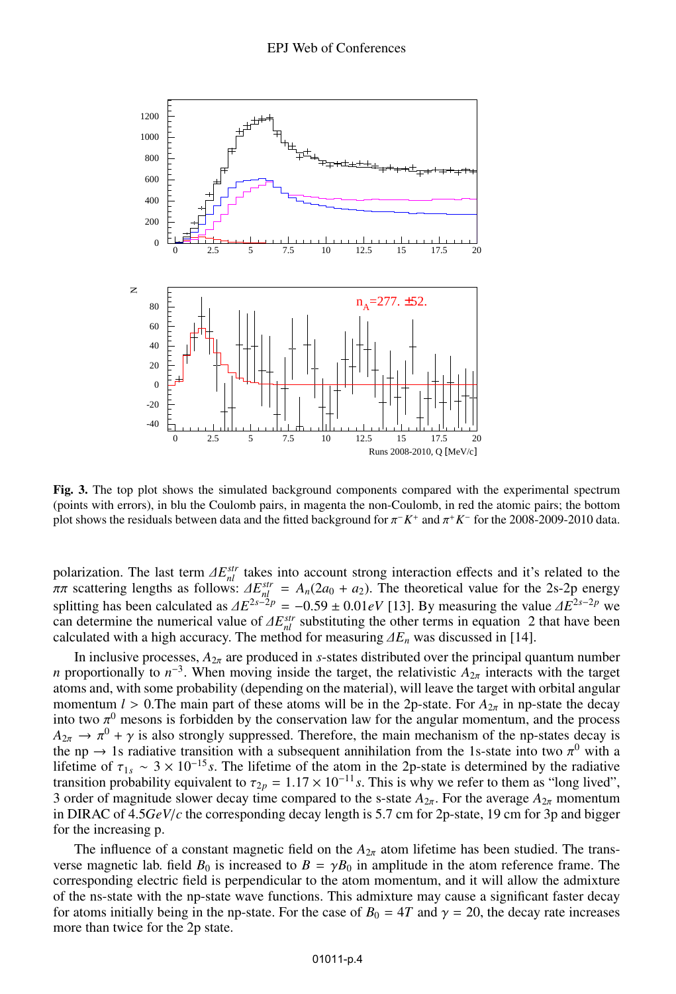

Fig. 3. The top plot shows the simulated background components compared with the experimental spectrum (points with errors), in blu the Coulomb pairs, in magenta the non-Coulomb, in red the atomic pairs; the bottom plot shows the residuals between data and the fitted background for  $\pi^- K^+$  and  $\pi^+ K^-$  for the 2008-2009-2010 data.

polarization. The last term  $\Delta E_{nl}^{str}$  takes into account strong interaction effects and it's related to the  $\pi\pi$  scattering lengths as follows:  $\Delta E_{nl}^{str} = A_n(2a_0 + a_2)$  The theoretical value for the 2s-2n energy  $\pi \pi$  scattering lengths as follows:  $\Delta E_{nl}^{str} = A_n(2a_0 + a_2)$ . The theoretical value for the 2s-2p energy energy splitting has been calculated as  $\Delta E^{2s-2p} = -0.59 \pm 0.01eV$  [13]. By measuring the value  $\Delta E^{2s-2p}$  we can determine the numerical value of  $\Delta E^{str}$  substituting the other terms in equation 2 that have been can determine the numerical value of  $\Delta E_{nl}^{str}$  substituting the other terms in equation 2 that have been calculated with a high accuracy. The method for measuring  $\Delta E_{nl}$  was discussed in [14] calculated with a high accuracy. The method for measuring  $\Delta E_n$  was discussed in [14].

In inclusive processes,  $A_{2\pi}$  are produced in *s*-states distributed over the principal quantum number *n* proportionally to  $n^{-3}$ . When moving inside the target, the relativistic  $A_{2\pi}$  interacts with the target atoms and, with some probability (depending on the material), will leave the target with orbital angular momentum *l* > 0. The main part of these atoms will be in the 2p-state. For  $A_{2\pi}$  in np-state the decay into two  $\pi^0$  mesons is forbidden by the conservation law for the angular momentum, and the process  $A_{2-} \to \pi^0 + \gamma$  is also strongly suppressed. Therefore, the main mechanism of the nn-states decay is  $A_{2\pi} \to \pi^0 + \gamma$  is also strongly suppressed. Therefore, the main mechanism of the np-states decay is<br>the np  $\to 1$ s radiative transition with a subsequent annihilation from the 1s-state into two  $\pi^0$  with a the np  $\rightarrow$  1s radiative transition with a subsequent annihilation from the 1s-state into two  $\pi^0$  with a lifetime of  $\tau_{\text{tot}} \approx 3 \times 10^{-15}$  s. The lifetime of the atom in the 2p-state is determined by the radiative lifetime of  $\tau_{1s} \sim 3 \times 10^{-15}$  *s*. The lifetime of the atom in the 2p-state is determined by the radiative transition probability equivalent to  $\tau_{2p} = 1.17 \times 10^{-11} s$ . This is why we refer to them as "long lived", 3 order of magnitude slower decay time compared to the s-state  $A_{2\pi}$ . For the average  $A_{2\pi}$  momentum in DIRAC of 4.5*GeV*/*<sup>c</sup>* the corresponding decay length is 5.7 cm for 2p-state, 19 cm for 3p and bigger for the increasing p.

The influence of a constant magnetic field on the  $A_{2\pi}$  atom lifetime has been studied. The transverse magnetic lab. field  $B_0$  is increased to  $B = \gamma B_0$  in amplitude in the atom reference frame. The corresponding electric field is perpendicular to the atom momentum, and it will allow the admixture of the ns-state with the np-state wave functions. This admixture may cause a significant faster decay for atoms initially being in the np-state. For the case of  $B_0 = 4T$  and  $\gamma = 20$ , the decay rate increases more than twice for the 2p state.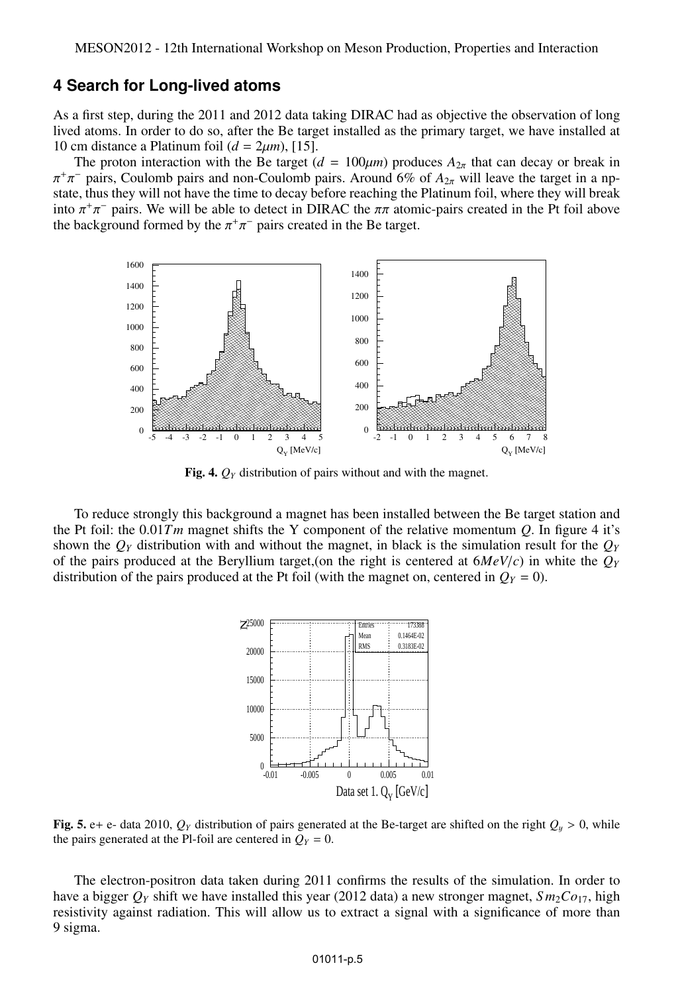#### **4 Search for Long-lived atoms**

As a first step, during the 2011 and 2012 data taking DIRAC had as objective the observation of long lived atoms. In order to do so, after the Be target installed as the primary target, we have installed at 10 cm distance a Platinum foil  $(d = 2\mu m)$ , [15].

The proton interaction with the Be target ( $d = 100 \mu m$ ) produces  $A_{2\pi}$  that can decay or break in state, thus they will not have the time to decay before reaching the Platinum foil, where they will break  $+\pi^-$  pairs, Coulomb pairs and non-Coulomb pairs. Around 6% of  $A_{2\pi}$  will leave the target in a np-<br>tate thus they will not have the time to decay before reaching the Platinum foil, where they will break into  $\pi^+\pi^-$  pairs. We will be able to detect in DIRAC the  $\pi\pi$  atomic-pairs created in the Pt foil above<br>the background formed by the  $\pi^+\pi^-$  pairs created in the Be target the background formed by the  $\pi^+$  $\pi$ <sup>-</sup> pairs created in the Be target.



**Fig. 4.**  $Q_Y$  distribution of pairs without and with the magnet.

To reduce strongly this background a magnet has been installed between the Be target station and the Pt foil: the 0.01*Tm* magnet shifts the Y component of the relative momentum *<sup>Q</sup>*. In figure 4 it's shown the  $Q_Y$  distribution with and without the magnet, in black is the simulation result for the  $Q_Y$ of the pairs produced at the Beryllium target,(on the right is centered at  $6MeV/c$ ) in white the  $Q<sub>Y</sub>$ distribution of the pairs produced at the Pt foil (with the magnet on, centered in  $Q_Y = 0$ ).



**Fig. 5.** e+ e- data 2010,  $Q_Y$  distribution of pairs generated at the Be-target are shifted on the right  $Q_y > 0$ , while the pairs generated at the Pl-foil are centered in  $Q_y = 0$ the pairs generated at the Pl-foil are centered in  $Q_Y = 0$ .

 $\overline{11}$ The electron-positron data taken during 2011 confirms the results of the simulation. In order to resistivity against radiation. This will allow us to extract a signal with a significance of more than have a bigger  $Q_Y$  shift we have installed this year (2012 data) a new stronger magnet,  $Sm_2Co_{17}$ , high 9 sigma.